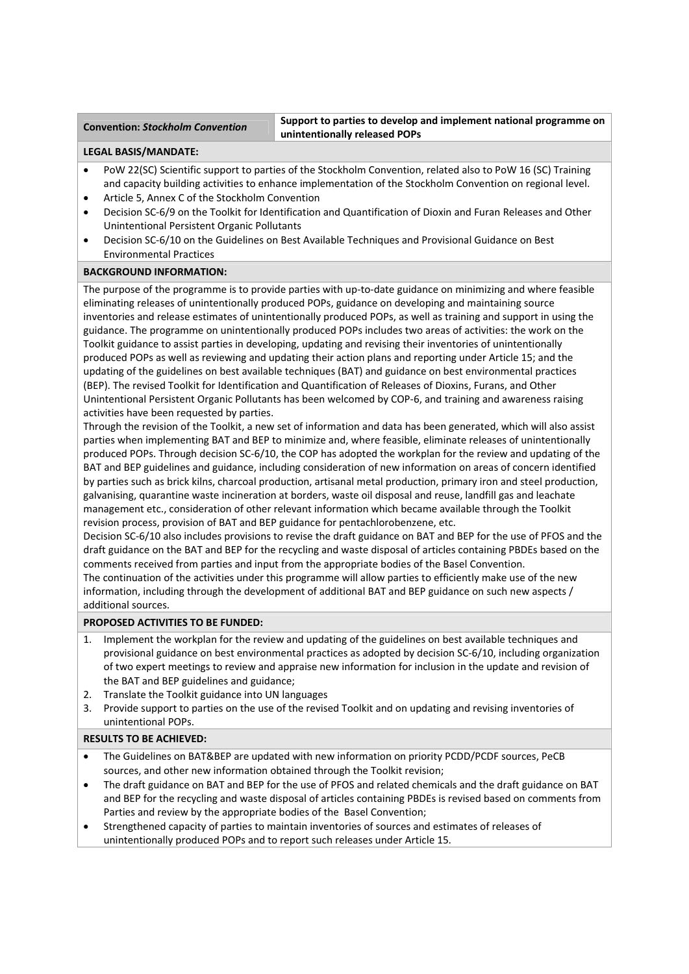**Convention:** *Stockholm Convention* **Support to parties to develop and implement national programme on unintentionally released POPs**

## **LEGAL BASIS/MANDATE:**

- PoW 22(SC) Scientific support to parties of the Stockholm Convention, related also to PoW 16 (SC) Training and capacity building activities to enhance implementation of the Stockholm Convention on regional level.
- Article 5, Annex C of the Stockholm Convention
- Decision SC‐6/9 on the Toolkit for Identification and Quantification of Dioxin and Furan Releases and Other Unintentional Persistent Organic Pollutants
- Decision SC‐6/10 on the Guidelines on Best Available Techniques and Provisional Guidance on Best Environmental Practices

## **BACKGROUND INFORMATION:**

The purpose of the programme is to provide parties with up-to-date guidance on minimizing and where feasible eliminating releases of unintentionally produced POPs, guidance on developing and maintaining source inventories and release estimates of unintentionally produced POPs, as well as training and support in using the guidance. The programme on unintentionally produced POPs includes two areas of activities: the work on the Toolkit guidance to assist parties in developing, updating and revising their inventories of unintentionally produced POPs as well as reviewing and updating their action plans and reporting under Article 15; and the updating of the guidelines on best available techniques (BAT) and guidance on best environmental practices (BEP). The revised Toolkit for Identification and Quantification of Releases of Dioxins, Furans, and Other Unintentional Persistent Organic Pollutants has been welcomed by COP‐6, and training and awareness raising activities have been requested by parties.

Through the revision of the Toolkit, a new set of information and data has been generated, which will also assist parties when implementing BAT and BEP to minimize and, where feasible, eliminate releases of unintentionally produced POPs. Through decision SC‐6/10, the COP has adopted the workplan for the review and updating of the BAT and BEP guidelines and guidance, including consideration of new information on areas of concern identified by parties such as brick kilns, charcoal production, artisanal metal production, primary iron and steel production, galvanising, quarantine waste incineration at borders, waste oil disposal and reuse, landfill gas and leachate management etc., consideration of other relevant information which became available through the Toolkit revision process, provision of BAT and BEP guidance for pentachlorobenzene, etc.

Decision SC-6/10 also includes provisions to revise the draft guidance on BAT and BEP for the use of PFOS and the draft guidance on the BAT and BEP for the recycling and waste disposal of articles containing PBDEs based on the comments received from parties and input from the appropriate bodies of the Basel Convention.

The continuation of the activities under this programme will allow parties to efficiently make use of the new information, including through the development of additional BAT and BEP guidance on such new aspects / additional sources.

## **PROPOSED ACTIVITIES TO BE FUNDED:**

- Implement the workplan for the review and updating of the guidelines on best available techniques and provisional guidance on best environmental practices as adopted by decision SC‐6/10, including organization of two expert meetings to review and appraise new information for inclusion in the update and revision of the BAT and BEP guidelines and guidance;
- 2. Translate the Toolkit guidance into UN languages
- 3. Provide support to parties on the use of the revised Toolkit and on updating and revising inventories of unintentional POPs.

# **RESULTS TO BE ACHIEVED:**

- The Guidelines on BAT&BEP are updated with new information on priority PCDD/PCDF sources, PeCB sources, and other new information obtained through the Toolkit revision;
- The draft guidance on BAT and BEP for the use of PFOS and related chemicals and the draft guidance on BAT and BEP for the recycling and waste disposal of articles containing PBDEs is revised based on comments from Parties and review by the appropriate bodies of the Basel Convention;
- Strengthened capacity of parties to maintain inventories of sources and estimates of releases of unintentionally produced POPs and to report such releases under Article 15.